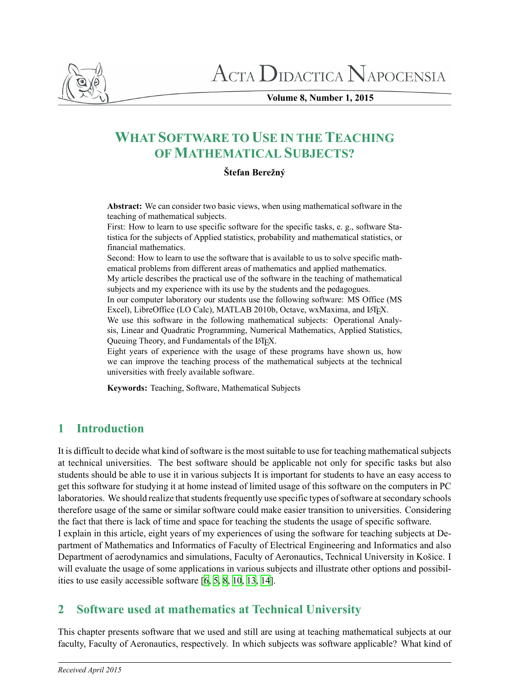

 $\Lambda$ CTA  $\rm D$ idactica  $\rm N$ apocensia

**Volume 8, Number 1, 2015**

# **WHAT SOFTWARE TO USE IN THE TEACHING OF MATHEMATICAL SUBJECTS?**

#### **Štefan Berežný**

**Abstract:** We can consider two basic views, when using mathematical software in the teaching of mathematical subjects.

First: How to learn to use specific software for the specific tasks, e. g., software Statistica for the subjects of Applied statistics, probability and mathematical statistics, or financial mathematics.

Second: How to learn to use the software that is available to us to solve specific mathematical problems from different areas of mathematics and applied mathematics.

My article describes the practical use of the software in the teaching of mathematical subjects and my experience with its use by the students and the pedagogues.

In our computer laboratory our students use the following software: MS Office (MS Excel), LibreOffice (LO Calc), MATLAB 2010b, Octave, wxMaxima, and LTEX.

We use this software in the following mathematical subjects: Operational Analysis, Linear and Quadratic Programming, Numerical Mathematics, Applied Statistics, Queuing Theory, and Fundamentals of the LATEX.

Eight years of experience with the usage of these programs have shown us, how we can improve the teaching process of the mathematical subjects at the technical universities with freely available software.

**Keywords:** Teaching, Software, Mathematical Subjects

## **1 Introduction**

It is difficult to decide what kind of software is the most suitable to use for teaching mathematical subjects at technical universities. The best software should be applicable not only for specific tasks but also students should be able to use it in various subjects It is important for students to have an easy access to get this software for studying it at home instead of limited usage of this software on the computers in PC laboratories. We should realize that students frequently use specific types of software at secondary schools therefore usage of the same or similar software could make easier transition to universities. Considering the fact that there is lack of time and space for teaching the students the usage of specific software. I explain in this article, eight years of my experiences of using the software for teaching subjects at De-

partment of Mathematics and Informatics of Faculty of Electrical Engineering and Informatics and also Department of aerodynamics and simulations, Faculty of Aeronautics, Technical University in Košice. I will evaluate the usage of some applications in various subjects and illustrate other options and possibilities to use easily accessible software [\[6,](#page-9-0) [5,](#page-9-1) [8,](#page-9-2) [10,](#page-9-3) [13](#page-9-4), [14\]](#page-9-5).

## **2 Software used at mathematics at Technical University**

This chapter presents software that we used and still are using at teaching mathematical subjects at our faculty, Faculty of Aeronautics, respectively. In which subjects was software applicable? What kind of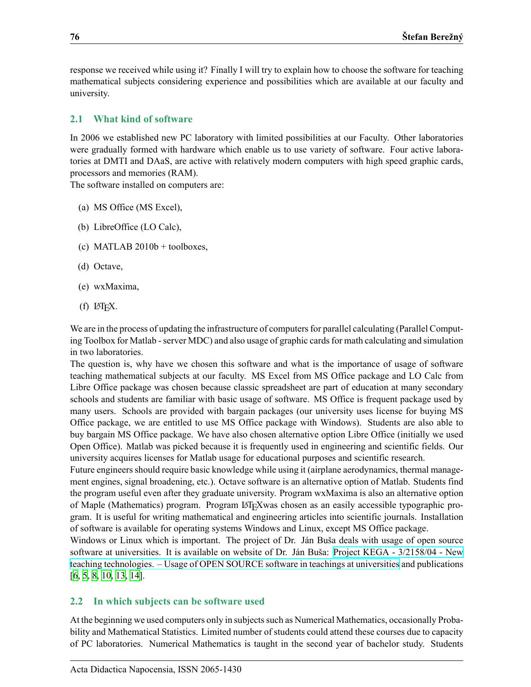response we received while using it? Finally I will try to explain how to choose the software for teaching mathematical subjects considering experience and possibilities which are available at our faculty and university.

### **2.1 What kind of software**

In 2006 we established new PC laboratory with limited possibilities at our Faculty. Other laboratories were gradually formed with hardware which enable us to use variety of software. Four active laboratories at DMTI and DAaS, are active with relatively modern computers with high speed graphic cards, processors and memories (RAM).

The software installed on computers are:

- (a) MS Office (MS Excel),
- (b) LibreOffice (LO Calc),
- (c) MATLAB  $2010b +$  toolboxes,
- (d) Octave,
- (e) wxMaxima,
- $(f)$  LAT<sub>F</sub>X.

We are in the process of updating the infrastructure of computers for parallel calculating (Parallel Computing Toolbox for Matlab - server MDC) and also usage of graphic cards for math calculating and simulation in two laboratories.

The question is, why have we chosen this software and what is the importance of usage of software teaching mathematical subjects at our faculty. MS Excel from MS Office package and LO Calc from Libre Office package was chosen because classic spreadsheet are part of education at many secondary schools and students are familiar with basic usage of software. MS Office is frequent package used by many users. Schools are provided with bargain packages (our university uses license for buying MS Office package, we are entitled to use MS Office package with Windows). Students are also able to buy bargain MS Office package. We have also chosen alternative option Libre Office (initially we used Open Office). Matlab was picked because it is frequently used in engineering and scientific fields. Our university acquires licenses for Matlab usage for educational purposes and scientific research.

Future engineers should require basic knowledge while using it (airplane aerodynamics, thermal management engines, signal broadening, etc.). Octave software is an alternative option of Matlab. Students find the program useful even after they graduate university. Program wxMaxima is also an alternative option of Maple (Mathematics) program. Program LAT<sub>E</sub>Xwas chosen as an easily accessible typographic program. It is useful for writing mathematical and engineering articles into scientific journals. Installation of software is available for operating systems Windows and Linux, except MS Office package.

Windows or Linux which is important. The project of Dr. Ján Buša deals with usage of open source software at universities. It is available on website of Dr. Ján Buša: [Project KEGA - 3/2158/04 - New](http://people.tuke.sk/jan.busa/kega/) [teaching technologies. – Usage of OPEN SOURCE software in teachings at universities](http://people.tuke.sk/jan.busa/kega/) and publications [\[6,](#page-9-0) [5,](#page-9-1) [8,](#page-9-2) [10](#page-9-3), [13](#page-9-4), [14\]](#page-9-5).

### <span id="page-1-0"></span>**2.2 In which subjects can be software used**

At the beginning we used computers only in subjects such as Numerical Mathematics, occasionally Probability and Mathematical Statistics. Limited number of students could attend these courses due to capacity of PC laboratories. Numerical Mathematics is taught in the second year of bachelor study. Students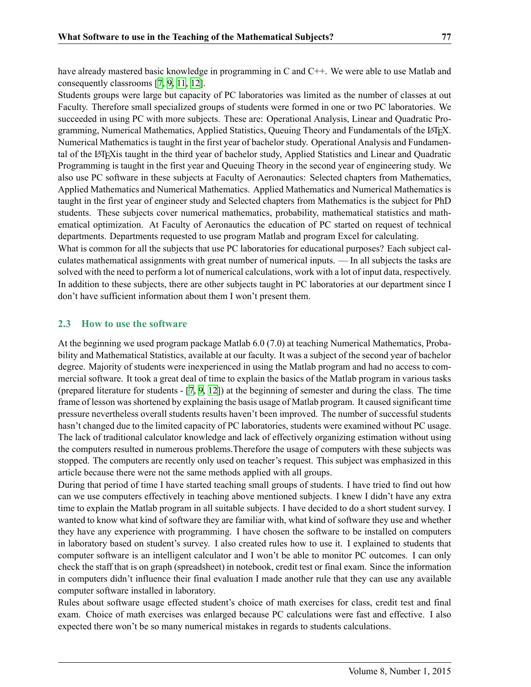have already mastered basic knowledge in programming in C and C++. We were able to use Matlab and consequently classrooms [\[7](#page-9-6), [9](#page-9-7), [11](#page-9-8), [12\]](#page-9-9).

Students groups were large but capacity of PC laboratories was limited as the number of classes at out Faculty. Therefore small specialized groups of students were formed in one or two PC laboratories. We succeeded in using PC with more subjects. These are: Operational Analysis, Linear and Quadratic Programming, Numerical Mathematics, Applied Statistics, Queuing Theory and Fundamentals of the LATEX. Numerical Mathematics is taught in the first year of bachelor study. Operational Analysis and Fundamental of the LATEXis taught in the third year of bachelor study, Applied Statistics and Linear and Quadratic Programming is taught in the first year and Queuing Theory in the second year of engineering study. We also use PC software in these subjects at Faculty of Aeronautics: Selected chapters from Mathematics, Applied Mathematics and Numerical Mathematics. Applied Mathematics and Numerical Mathematics is taught in the first year of engineer study and Selected chapters from Mathematics is the subject for PhD students. These subjects cover numerical mathematics, probability, mathematical statistics and mathematical optimization. At Faculty of Aeronautics the education of PC started on request of technical departments. Departments requested to use program Matlab and program Excel for calculating.

What is common for all the subjects that use PC laboratories for educational purposes? Each subject calculates mathematical assignments with great number of numerical inputs. — In all subjects the tasks are solved with the need to perform a lot of numerical calculations, work with a lot of input data, respectively. In addition to these subjects, there are other subjects taught in PC laboratories at our department since I don't have sufficient information about them I won't present them.

#### <span id="page-2-0"></span>**2.3 How to use the software**

At the beginning we used program package Matlab 6.0 (7.0) at teaching Numerical Mathematics, Probability and Mathematical Statistics, available at our faculty. It was a subject of the second year of bachelor degree. Majority of students were inexperienced in using the Matlab program and had no access to commercial software. It took a great deal of time to explain the basics of the Matlab program in various tasks (prepared literature for students -[[7](#page-9-6), [9](#page-9-7), [12\]](#page-9-9)) at the beginning of semester and during the class. The time frame of lesson was shortened by explaining the basis usage of Matlab program. It caused significant time pressure nevertheless overall students results haven't been improved. The number of successful students hasn't changed due to the limited capacity of PC laboratories, students were examined without PC usage. The lack of traditional calculator knowledge and lack of effectively organizing estimation without using the computers resulted in numerous problems.Therefore the usage of computers with these subjects was stopped. The computers are recently only used on teacher's request. This subject was emphasized in this article because there were not the same methods applied with all groups.

During that period of time I have started teaching small groups of students. I have tried to find out how can we use computers effectively in teaching above mentioned subjects. I knew I didn't have any extra time to explain the Matlab program in all suitable subjects. I have decided to do a short student survey. I wanted to know what kind of software they are familiar with, what kind of software they use and whether they have any experience with programming. I have chosen the software to be installed on computers in laboratory based on student's survey. I also created rules how to use it. I explained to students that computer software is an intelligent calculator and I won't be able to monitor PC outcomes. I can only check the staff that is on graph (spreadsheet) in notebook, credit test or final exam. Since the information in computers didn't influence their final evaluation I made another rule that they can use any available computer software installed in laboratory.

Rules about software usage effected student's choice of math exercises for class, credit test and final exam. Choice of math exercises was enlarged because PC calculations were fast and effective. I also expected there won't be so many numerical mistakes in regards to students calculations.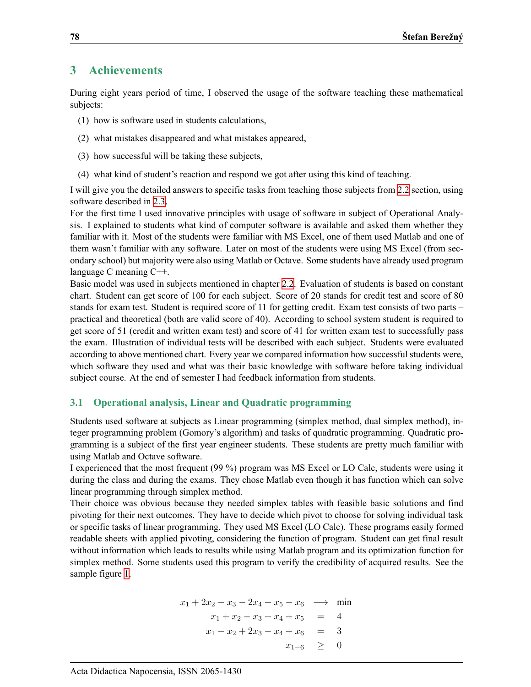## **3 Achievements**

During eight years period of time, I observed the usage of the software teaching these mathematical subjects:

- (1) how is software used in students calculations,
- (2) what mistakes disappeared and what mistakes appeared,
- (3) how successful will be taking these subjects,
- (4) what kind of student's reaction and respond we got after using this kind of teaching.

I will give you the detailed answers to specific tasks from teaching those subjects from [2.2](#page-1-0) section, using software described in [2.3](#page-2-0).

For the first time I used innovative principles with usage of software in subject of Operational Analysis. I explained to students what kind of computer software is available and asked them whether they familiar with it. Most of the students were familiar with MS Excel, one of them used Matlab and one of them wasn't familiar with any software. Later on most of the students were using MS Excel (from secondary school) but majority were also using Matlab or Octave. Some students have already used program language C meaning C++.

Basic model was used in subjects mentioned in chapter [2.2.](#page-1-0) Evaluation of students is based on constant chart. Student can get score of 100 for each subject. Score of 20 stands for credit test and score of 80 stands for exam test. Student is required score of 11 for getting credit. Exam test consists of two parts – practical and theoretical (both are valid score of 40). According to school system student is required to get score of 51 (credit and written exam test) and score of 41 for written exam test to successfully pass the exam. Illustration of individual tests will be described with each subject. Students were evaluated according to above mentioned chart. Every year we compared information how successful students were, which software they used and what was their basic knowledge with software before taking individual subject course. At the end of semester I had feedback information from students.

### **3.1 Operational analysis, Linear and Quadratic programming**

Students used software at subjects as Linear programming (simplex method, dual simplex method), integer programming problem (Gomory's algorithm) and tasks of quadratic programming. Quadratic programming is a subject of the first year engineer students. These students are pretty much familiar with using Matlab and Octave software.

I experienced that the most frequent (99 %) program was MS Excel or LO Calc, students were using it during the class and during the exams. They chose Matlab even though it has function which can solve linear programming through simplex method.

Their choice was obvious because they needed simplex tables with feasible basic solutions and find pivoting for their next outcomes. They have to decide which pivot to choose for solving individual task or specific tasks of linear programming. They used MS Excel (LO Calc). These programs easily formed readable sheets with applied pivoting, considering the function of program. Student can get final result without information which leads to results while using Matlab program and its optimization function for simplex method. Some students used this program to verify the credibility of acquired results. See the sample figure [1.](#page-4-0)

$$
x_1 + 2x_2 - x_3 - 2x_4 + x_5 - x_6 \longrightarrow \min
$$
  
\n
$$
x_1 + x_2 - x_3 + x_4 + x_5 = 4
$$
  
\n
$$
x_1 - x_2 + 2x_3 - x_4 + x_6 = 3
$$
  
\n
$$
x_{1-6} \ge 0
$$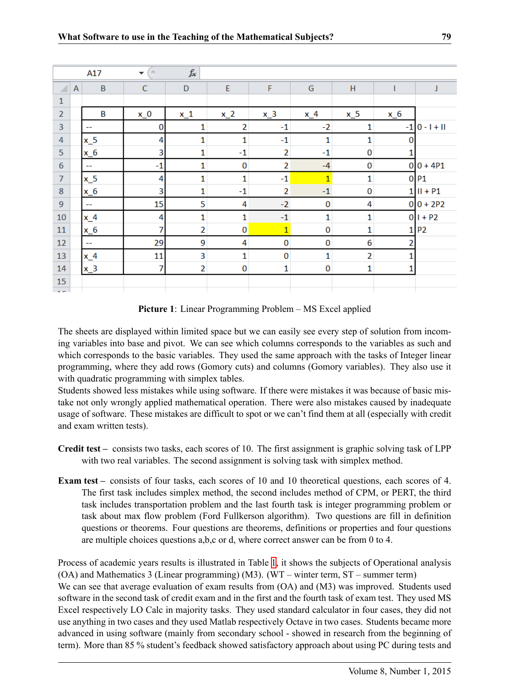| $f_x$<br>A17<br>$\sim$<br>▼ |              |                          |              |                |                |                |              |                |       |                 |
|-----------------------------|--------------|--------------------------|--------------|----------------|----------------|----------------|--------------|----------------|-------|-----------------|
| ⊿                           | $\mathsf{A}$ | $\overline{B}$           | $\mathsf{C}$ | $\mathsf{D}$   | E              | F              | G            | H              |       | J               |
| $\mathbf{1}$                |              |                          |              |                |                |                |              |                |       |                 |
| $\overline{2}$              |              | B                        | $x_0$        | $x_1$          | $x_2$          | $x_3$          | $x_4$        | $x_5$          | $x_6$ |                 |
| 3                           |              | --                       | 0            | 1              | $\overline{2}$ | $-1$           | $-2$         | 1              |       | $-1$ 0 - 1 + 11 |
| $\overline{4}$              |              | $x_5$                    | 4            | $\mathbf{1}$   | 1              | $-1$           | 1            | $\mathbf{1}$   | 0     |                 |
| 5                           |              | $x_6$                    | 3            | $\mathbf{1}$   | $-1$           | $\overline{2}$ | $-1$         | $\bf{0}$       |       |                 |
| $\boldsymbol{6}$            |              | $\overline{\phantom{m}}$ | $-1$         | 1              | 0              | $\overline{2}$ | $-4$         | 0              |       | $0 0 + 4P1$     |
| $\overline{7}$              |              | $x_5$                    | 4            | $\mathbf{1}$   | 1              | $-1$           | $\mathbf{1}$ | $\mathbf{1}$   |       | 0P1             |
| 8                           |              | $x_6$                    | 3            | 1              | $-1$           | $\overline{2}$ | $-1$         | 0              |       | $1$ $II + P1$   |
| $\overline{9}$              |              | $\overline{\phantom{a}}$ | 15           | 5              | 4              | $-2$           | 0            | 4              |       | $0 0 + 2P2$     |
| 10                          |              | $x_4$                    | 4            | $\mathbf{1}$   | 1              | $-1$           | $\mathbf{1}$ | $\mathbf{1}$   |       | $0 1 + P2$      |
| 11                          |              | $x_6$                    | 7            | $\overline{2}$ | $\mathbf{0}$   | $\overline{1}$ | 0            | $\mathbf{1}$   | 11    | P <sub>2</sub>  |
| 12                          |              | $\sim$                   | 29           | 9              | 4              | $\bf{0}$       | 0            | 6              | 2     |                 |
| 13                          |              | $x_4$                    | 11           | 3              | 1              | $\bf{0}$       | $\mathbf{1}$ | $\overline{2}$ |       |                 |
| 14                          |              | $x_3$                    | 7            | $\overline{2}$ | $\bf{0}$       | $\mathbf{1}$   | $\bf{0}$     | $\mathbf 1$    | 1     |                 |
| 15                          |              |                          |              |                |                |                |              |                |       |                 |
| $\sim$ $\sim$               |              |                          |              |                |                |                |              |                |       |                 |

<span id="page-4-0"></span>**Picture 1**: Linear Programming Problem – MS Excel applied

The sheets are displayed within limited space but we can easily see every step of solution from incoming variables into base and pivot. We can see which columns corresponds to the variables as such and which corresponds to the basic variables. They used the same approach with the tasks of Integer linear programming, where they add rows (Gomory cuts) and columns (Gomory variables). They also use it with quadratic programming with simplex tables.

Students showed less mistakes while using software. If there were mistakes it was because of basic mistake not only wrongly applied mathematical operation. There were also mistakes caused by inadequate usage of software. These mistakes are difficult to spot or we can't find them at all (especially with credit and exam written tests).

- **Credit test –** consists two tasks, each scores of 10. The first assignment is graphic solving task of LPP with two real variables. The second assignment is solving task with simplex method.
- **Exam test –** consists of four tasks, each scores of 10 and 10 theoretical questions, each scores of 4. The first task includes simplex method, the second includes method of CPM, or PERT, the third task includes transportation problem and the last fourth task is integer programming problem or task about max flow problem (Ford Fullkerson algorithm). Two questions are fill in definition questions or theorems. Four questions are theorems, definitions or properties and four questions are multiple choices questions a,b,c or d, where correct answer can be from 0 to 4.

Process of academic years results is illustrated in Table [1,](#page-5-0) it shows the subjects of Operational analysis (OA) and Mathematics 3 (Linear programming) (M3). (WT – winter term, ST – summer term) We can see that average evaluation of exam results from (OA) and (M3) was improved. Students used software in the second task of credit exam and in the first and the fourth task of exam test. They used MS Excel respectively LO Calc in majority tasks. They used standard calculator in four cases, they did not use anything in two cases and they used Matlab respectively Octave in two cases. Students became more advanced in using software (mainly from secondary school - showed in research from the beginning of term). More than 85 % student's feedback showed satisfactory approach about using PC during tests and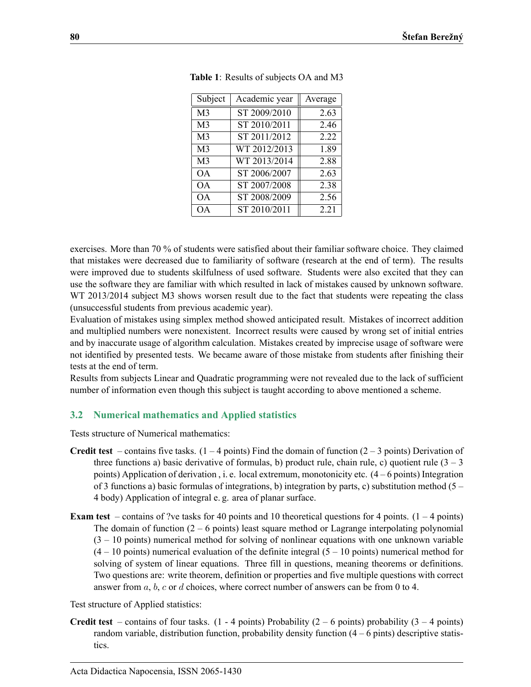| Subject        | Academic year             | Average |
|----------------|---------------------------|---------|
| M <sub>3</sub> | ST 2009/2010              | 2.63    |
| M <sub>3</sub> | ST 2010/2011              | 2.46    |
| M <sub>3</sub> | ST 2011/2012              | 2.22    |
| M <sub>3</sub> | WT 2012/2013              | 1.89    |
| M <sub>3</sub> | $\overline{WT 2013/2014}$ | 2.88    |
| OΑ.            | ST 2006/2007              | 2.63    |
| OА             | ST 2007/2008              | 2.38    |
| <b>OA</b>      | ST 2008/2009              | 2.56    |
| <b>OA</b>      | ST 2010/2011              | 2.21    |

<span id="page-5-0"></span>

|  |  |  | Table 1: Results of subjects OA and M3 |  |  |
|--|--|--|----------------------------------------|--|--|
|--|--|--|----------------------------------------|--|--|

exercises. More than 70 % of students were satisfied about their familiar software choice. They claimed that mistakes were decreased due to familiarity of software (research at the end of term). The results were improved due to students skilfulness of used software. Students were also excited that they can use the software they are familiar with which resulted in lack of mistakes caused by unknown software. WT 2013/2014 subject M3 shows worsen result due to the fact that students were repeating the class (unsuccessful students from previous academic year).

Evaluation of mistakes using simplex method showed anticipated result. Mistakes of incorrect addition and multiplied numbers were nonexistent. Incorrect results were caused by wrong set of initial entries and by inaccurate usage of algorithm calculation. Mistakes created by imprecise usage of software were not identified by presented tests. We became aware of those mistake from students after finishing their tests at the end of term.

Results from subjects Linear and Quadratic programming were not revealed due to the lack of sufficient number of information even though this subject is taught according to above mentioned a scheme.

### **3.2 Numerical mathematics and Applied statistics**

Tests structure of Numerical mathematics:

- **Credit test** contains five tasks.  $(1 4 \text{ points})$  Find the domain of function  $(2 3 \text{ points})$  Derivation of three functions a) basic derivative of formulas, b) product rule, chain rule, c) quotient rule  $(3 - 3)$ points) Application of derivation , i. e. local extremum, monotonicity etc. (4 – 6 points) Integration of 3 functions a) basic formulas of integrations, b) integration by parts, c) substitution method ( $5$  – 4 body) Application of integral e. g. area of planar surface.
- **Exam test** contains of ?ve tasks for 40 points and 10 theoretical questions for 4 points.  $(1 4 \text{ points})$ The domain of function  $(2 - 6 \text{ points})$  least square method or Lagrange interpolating polynomial  $(3 - 10 \text{ points})$  numerical method for solving of nonlinear equations with one unknown variable  $(4 - 10 \text{ points})$  numerical evaluation of the definite integral  $(5 - 10 \text{ points})$  numerical method for solving of system of linear equations. Three fill in questions, meaning theorems or definitions. Two questions are: write theorem, definition or properties and five multiple questions with correct answer from *a*, *b*, *c* or *d* choices, where correct number of answers can be from 0 to 4.

Test structure of Applied statistics:

**Credit test** – contains of four tasks.  $(1 - 4 \text{ points})$  Probability  $(2 - 6 \text{ points})$  probability  $(3 - 4 \text{ points})$ random variable, distribution function, probability density function  $(4 - 6 \text{ pints})$  descriptive statistics.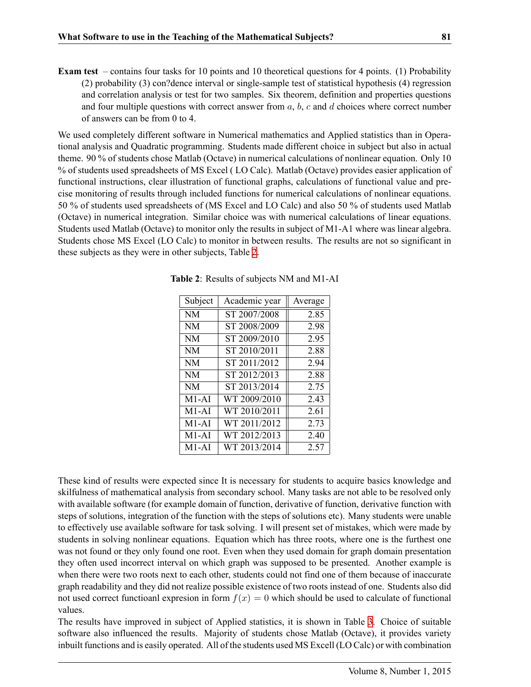**Exam test** – contains four tasks for 10 points and 10 theoretical questions for 4 points. (1) Probability (2) probability (3) con?dence interval or single-sample test of statistical hypothesis (4) regression and correlation analysis or test for two samples. Six theorem, definition and properties questions and four multiple questions with correct answer from *a*, *b*, *c* and *d* choices where correct number of answers can be from 0 to 4.

We used completely different software in Numerical mathematics and Applied statistics than in Operational analysis and Quadratic programming. Students made different choice in subject but also in actual theme. 90 % of students chose Matlab (Octave) in numerical calculations of nonlinear equation. Only 10 % of students used spreadsheets of MS Excel ( LO Calc). Matlab (Octave) provides easier application of functional instructions, clear illustration of functional graphs, calculations of functional value and precise monitoring of results through included functions for numerical calculations of nonlinear equations. 50 % of students used spreadsheets of (MS Excel and LO Calc) and also 50 % of students used Matlab (Octave) in numerical integration. Similar choice was with numerical calculations of linear equations. Students used Matlab (Octave) to monitor only the results in subject of M1-A1 where was linear algebra. Students chose MS Excel (LO Calc) to monitor in between results. The results are not so significant in these subjects as they were in other subjects, Table [2](#page-6-0).

| Subject   | Academic year | Average |  |
|-----------|---------------|---------|--|
| <b>NM</b> | ST 2007/2008  | 2.85    |  |
| <b>NM</b> | ST 2008/2009  | 2.98    |  |
| <b>NM</b> | ST 2009/2010  | 2.95    |  |
| <b>NM</b> | ST 2010/2011  | 2.88    |  |
| <b>NM</b> | ST 2011/2012  | 2.94    |  |
| <b>NM</b> | ST 2012/2013  | 2.88    |  |
| <b>NM</b> | ST 2013/2014  | 2.75    |  |
| $M1-AI$   | WT 2009/2010  | 2.43    |  |
| $M1-AI$   | WT 2010/2011  | 2.61    |  |
| $M1-AI$   | WT 2011/2012  | 2.73    |  |
| $M1-AI$   | WT 2012/2013  | 2.40    |  |
| $M1-AI$   | WT 2013/2014  | 2.57    |  |

<span id="page-6-0"></span>**Table 2**: Results of subjects NM and M1-AI

These kind of results were expected since It is necessary for students to acquire basics knowledge and skilfulness of mathematical analysis from secondary school. Many tasks are not able to be resolved only with available software (for example domain of function, derivative of function, derivative function with steps of solutions, integration of the function with the steps of solutions etc). Many students were unable to effectively use available software for task solving. I will present set of mistakes, which were made by students in solving nonlinear equations. Equation which has three roots, where one is the furthest one was not found or they only found one root. Even when they used domain for graph domain presentation they often used incorrect interval on which graph was supposed to be presented. Another example is when there were two roots next to each other, students could not find one of them because of inaccurate graph readability and they did not realize possible existence of two roots instead of one. Students also did not used correct functioanl expression in form  $f(x) = 0$  which should be used to calculate of functional values.

The results have improved in subject of Applied statistics, it is shown in Table [3](#page-7-0). Choice of suitable software also influenced the results. Majority of students chose Matlab (Octave), it provides variety inbuilt functions and is easily operated. All of the students used MS Excell (LO Calc) or with combination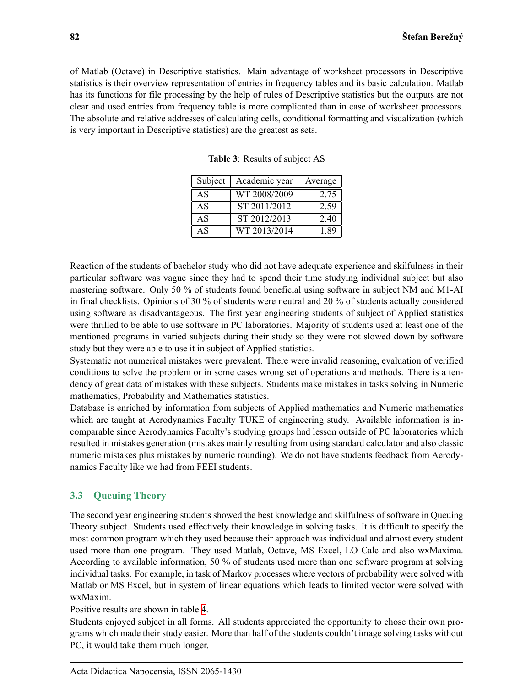of Matlab (Octave) in Descriptive statistics. Main advantage of worksheet processors in Descriptive statistics is their overview representation of entries in frequency tables and its basic calculation. Matlab has its functions for file processing by the help of rules of Descriptive statistics but the outputs are not clear and used entries from frequency table is more complicated than in case of worksheet processors. The absolute and relative addresses of calculating cells, conditional formatting and visualization (which is very important in Descriptive statistics) are the greatest as sets.

| Subject | Academic year | Average |
|---------|---------------|---------|
| AS      | WT 2008/2009  | 2.75    |
| AS      | ST 2011/2012  | 2.59    |
| AS      | ST 2012/2013  | 2.40    |
| AS      | WT 2013/2014  | 189     |

<span id="page-7-0"></span>**Table 3**: Results of subject AS

Reaction of the students of bachelor study who did not have adequate experience and skilfulness in their particular software was vague since they had to spend their time studying individual subject but also mastering software. Only 50 % of students found beneficial using software in subject NM and M1-AI in final checklists. Opinions of 30 % of students were neutral and 20 % of students actually considered using software as disadvantageous. The first year engineering students of subject of Applied statistics were thrilled to be able to use software in PC laboratories. Majority of students used at least one of the mentioned programs in varied subjects during their study so they were not slowed down by software study but they were able to use it in subject of Applied statistics.

Systematic not numerical mistakes were prevalent. There were invalid reasoning, evaluation of verified conditions to solve the problem or in some cases wrong set of operations and methods. There is a tendency of great data of mistakes with these subjects. Students make mistakes in tasks solving in Numeric mathematics, Probability and Mathematics statistics.

Database is enriched by information from subjects of Applied mathematics and Numeric mathematics which are taught at Aerodynamics Faculty TUKE of engineering study. Available information is incomparable since Aerodynamics Faculty's studying groups had lesson outside of PC laboratories which resulted in mistakes generation (mistakes mainly resulting from using standard calculator and also classic numeric mistakes plus mistakes by numeric rounding). We do not have students feedback from Aerodynamics Faculty like we had from FEEI students.

### **3.3 Queuing Theory**

The second year engineering students showed the best knowledge and skilfulness of software in Queuing Theory subject. Students used effectively their knowledge in solving tasks. It is difficult to specify the most common program which they used because their approach was individual and almost every student used more than one program. They used Matlab, Octave, MS Excel, LO Calc and also wxMaxima. According to available information, 50 % of students used more than one software program at solving individual tasks. For example, in task of Markov processes where vectors of probability were solved with Matlab or MS Excel, but in system of linear equations which leads to limited vector were solved with wxMaxim.

#### Positive results are shown in table [4.](#page-8-0)

Students enjoyed subject in all forms. All students appreciated the opportunity to chose their own programs which made their study easier. More than half of the students couldn't image solving tasks without PC, it would take them much longer.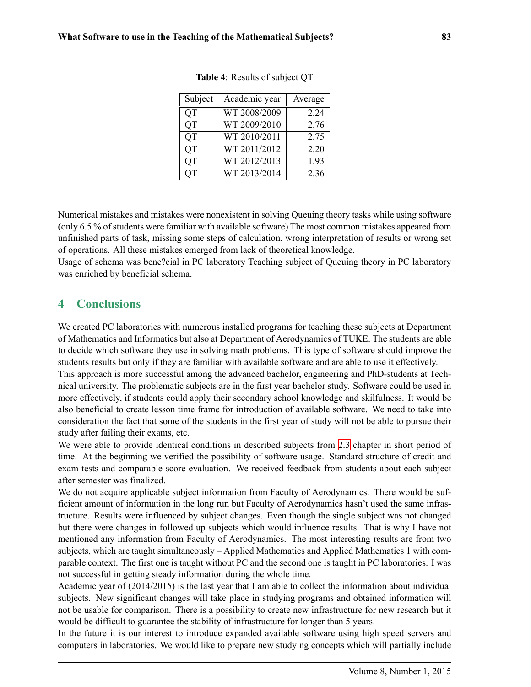| Subject   | Academic year | Average |
|-----------|---------------|---------|
| <b>QT</b> | WT 2008/2009  | 2.24    |
| QT        | WT 2009/2010  | 2.76    |
| <b>QT</b> | WT 2010/2011  | 2.75    |
| OТ        | WT 2011/2012  | 2.20    |
| <b>QT</b> | WT 2012/2013  | 1.93    |
| OТ        | WT 2013/2014  | 2.36    |

<span id="page-8-0"></span>**Table 4**: Results of subject QT

Numerical mistakes and mistakes were nonexistent in solving Queuing theory tasks while using software (only 6.5 % of students were familiar with available software) The most common mistakes appeared from unfinished parts of task, missing some steps of calculation, wrong interpretation of results or wrong set of operations. All these mistakes emerged from lack of theoretical knowledge.

Usage of schema was bene?cial in PC laboratory Teaching subject of Queuing theory in PC laboratory was enriched by beneficial schema.

### **4 Conclusions**

We created PC laboratories with numerous installed programs for teaching these subjects at Department of Mathematics and Informatics but also at Department of Aerodynamics of TUKE. The students are able to decide which software they use in solving math problems. This type of software should improve the students results but only if they are familiar with available software and are able to use it effectively. This approach is more successful among the advanced bachelor, engineering and PhD-students at Technical university. The problematic subjects are in the first year bachelor study. Software could be used in more effectively, if students could apply their secondary school knowledge and skilfulness. It would be also beneficial to create lesson time frame for introduction of available software. We need to take into consideration the fact that some of the students in the first year of study will not be able to pursue their

study after failing their exams, etc.

We were able to provide identical conditions in described subjects from [2.3](#page-2-0) chapter in short period of time. At the beginning we verified the possibility of software usage. Standard structure of credit and exam tests and comparable score evaluation. We received feedback from students about each subject after semester was finalized.

We do not acquire applicable subject information from Faculty of Aerodynamics. There would be sufficient amount of information in the long run but Faculty of Aerodynamics hasn't used the same infrastructure. Results were influenced by subject changes. Even though the single subject was not changed but there were changes in followed up subjects which would influence results. That is why I have not mentioned any information from Faculty of Aerodynamics. The most interesting results are from two subjects, which are taught simultaneously – Applied Mathematics and Applied Mathematics 1 with comparable context. The first one is taught without PC and the second one is taught in PC laboratories. I was not successful in getting steady information during the whole time.

Academic year of (2014/2015) is the last year that I am able to collect the information about individual subjects. New significant changes will take place in studying programs and obtained information will not be usable for comparison. There is a possibility to create new infrastructure for new research but it would be difficult to guarantee the stability of infrastructure for longer than 5 years.

In the future it is our interest to introduce expanded available software using high speed servers and computers in laboratories. We would like to prepare new studying concepts which will partially include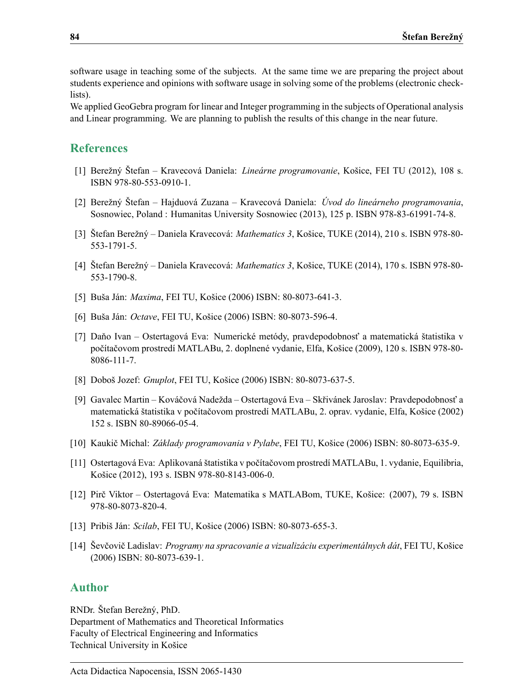software usage in teaching some of the subjects. At the same time we are preparing the project about students experience and opinions with software usage in solving some of the problems (electronic checklists).

We applied GeoGebra program for linear and Integer programming in the subjects of Operational analysis and Linear programming. We are planning to publish the results of this change in the near future.

### **References**

- [1] Berežný Štefan Kravecová Daniela: *Lineárne programovanie*, Košice, FEI TU (2012), 108 s. ISBN 978-80-553-0910-1.
- [2] Berežný Štefan Hajduová Zuzana Kravecová Daniela: *Úvod do lineárneho programovania*, Sosnowiec, Poland : Humanitas University Sosnowiec (2013), 125 p. ISBN 978-83-61991-74-8.
- [3] Štefan Berežný Daniela Kravecová: *Mathematics 3*, Košice, TUKE (2014), 210 s. ISBN 978-80- 553-1791-5.
- [4] Štefan Berežný Daniela Kravecová: *Mathematics 3*, Košice, TUKE (2014), 170 s. ISBN 978-80- 553-1790-8.
- <span id="page-9-1"></span>[5] Buša Ján: *Maxima*, FEI TU, Košice (2006) ISBN: 80-8073-641-3.
- <span id="page-9-0"></span>[6] Buša Ján: *Octave*, FEI TU, Košice (2006) ISBN: 80-8073-596-4.
- <span id="page-9-6"></span>[7] Daňo Ivan – Ostertagová Eva: Numerické metódy, pravdepodobnosť a matematická štatistika v počítačovom prostredí MATLABu, 2. doplnené vydanie, Elfa, Košice (2009), 120 s. ISBN 978-80- 8086-111-7.
- <span id="page-9-2"></span>[8] Doboš Jozef: *Gnuplot*, FEI TU, Košice (2006) ISBN: 80-8073-637-5.
- <span id="page-9-7"></span>[9] Gavalec Martin – Kováčová Nadežda – Ostertagová Eva – Skřivánek Jaroslav: Pravdepodobnosť a matematická štatistika v počítačovom prostredí MATLABu, 2. oprav. vydanie, Elfa, Košice (2002) 152 s. ISBN 80-89066-05-4.
- <span id="page-9-3"></span>[10] Kaukič Michal: *Základy programovania v Pylabe*, FEI TU, Košice (2006) ISBN: 80-8073-635-9.
- <span id="page-9-8"></span>[11] Ostertagová Eva: Aplikovaná štatistika v počítačovom prostredí MATLABu, 1. vydanie, Equilibria, Košice (2012), 193 s. ISBN 978-80-8143-006-0.
- <span id="page-9-9"></span>[12] Pirč Viktor – Ostertagová Eva: Matematika s MATLABom, TUKE, Košice: (2007), 79 s. ISBN 978-80-8073-820-4.
- <span id="page-9-4"></span>[13] Pribiš Ján: *Scilab*, FEI TU, Košice (2006) ISBN: 80-8073-655-3.
- <span id="page-9-5"></span>[14] Ševčovič Ladislav: *Programy na spracovanie a vizualizáciu experimentálnych dát*, FEI TU, Košice (2006) ISBN: 80-8073-639-1.

### **Author**

RNDr. Štefan Berežný, PhD. Department of Mathematics and Theoretical Informatics Faculty of Electrical Engineering and Informatics Technical University in Košice